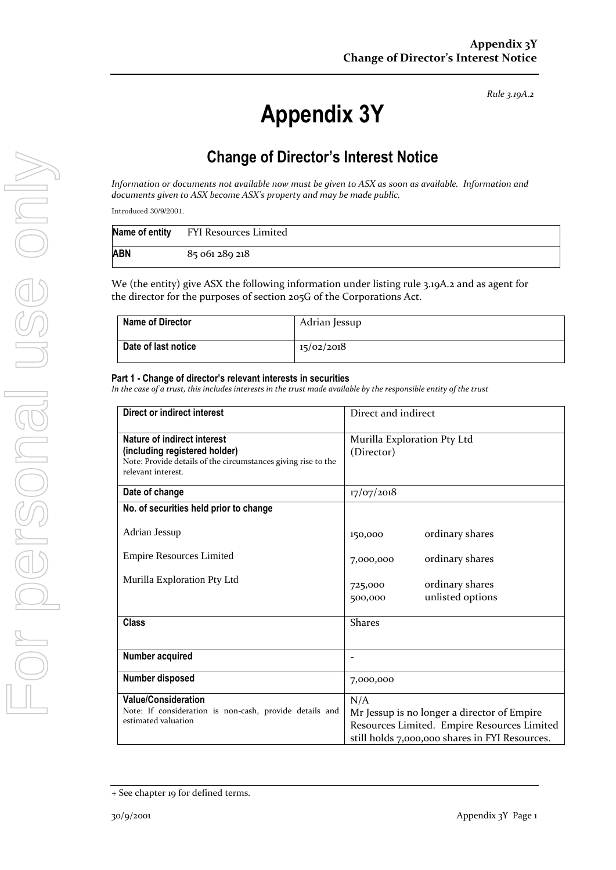*Rule 3.19A.2*

# **Appendix 3Y**

# **Change of Director's Interest Notice**

*Information or documents not available now must be given to ASX as soon as available. Information and documents given to ASX become ASX's property and may be made public.*

Introduced 30/9/2001.

|     | Name of entity FYI Resources Limited |
|-----|--------------------------------------|
| ABN | 85 061 289 218                       |

We (the entity) give ASX the following information under listing rule 3.19A.2 and as agent for the director for the purposes of section 205G of the Corporations Act.

| <b>Name of Director</b> | Adrian Jessup |
|-------------------------|---------------|
| Date of last notice     | 15/02/2018    |

#### **Part 1 - Change of director's relevant interests in securities**

*In the case of a trust, this includes interests in the trust made available by the responsible entity of the trust*

| <b>Direct or indirect interest</b>                                                                                                                  | Direct and indirect                                                                                                                                 |  |
|-----------------------------------------------------------------------------------------------------------------------------------------------------|-----------------------------------------------------------------------------------------------------------------------------------------------------|--|
| Nature of indirect interest<br>(including registered holder)<br>Note: Provide details of the circumstances giving rise to the<br>relevant interest. | Murilla Exploration Pty Ltd<br>(Director)                                                                                                           |  |
| Date of change                                                                                                                                      | 17/07/2018                                                                                                                                          |  |
| No. of securities held prior to change                                                                                                              |                                                                                                                                                     |  |
| Adrian Jessup                                                                                                                                       | ordinary shares<br>150,000                                                                                                                          |  |
| <b>Empire Resources Limited</b>                                                                                                                     | ordinary shares<br>7,000,000                                                                                                                        |  |
| Murilla Exploration Pty Ltd                                                                                                                         | ordinary shares<br>725,000<br>unlisted options<br>500,000                                                                                           |  |
| <b>Class</b>                                                                                                                                        | <b>Shares</b>                                                                                                                                       |  |
| Number acquired                                                                                                                                     |                                                                                                                                                     |  |
| Number disposed                                                                                                                                     | 7,000,000                                                                                                                                           |  |
| <b>Value/Consideration</b><br>Note: If consideration is non-cash, provide details and<br>estimated valuation                                        | N/A<br>Mr Jessup is no longer a director of Empire<br>Resources Limited. Empire Resources Limited<br>still holds 7,000,000 shares in FYI Resources. |  |

<sup>+</sup> See chapter 19 for defined terms.